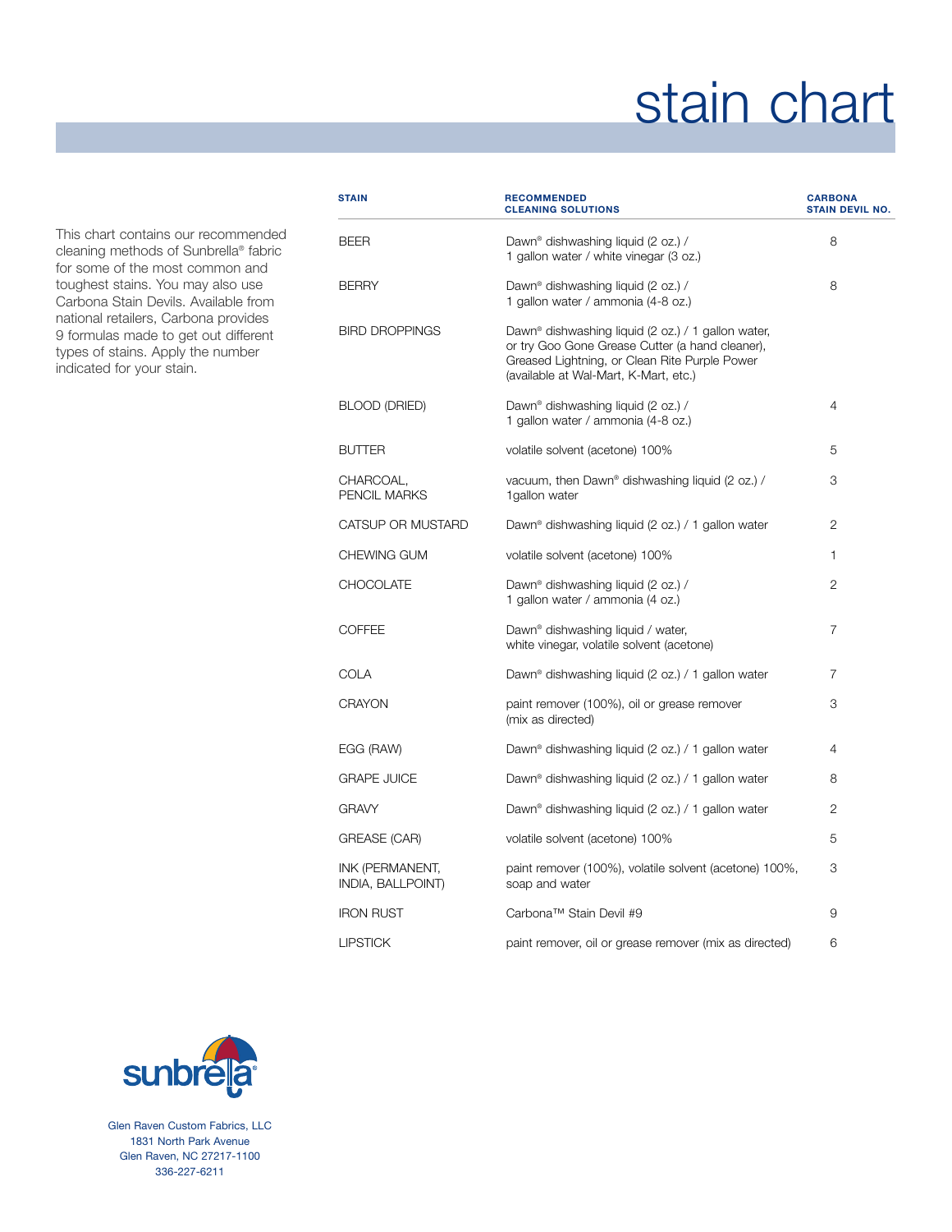## stain chart

This chart contains our recommended cleaning methods of Sunbrella® fabric for some of the most common and toughest stains. You may also use Carbona Stain Devils. Available from national retailers, Carbona provides 9 formulas made to get out different types of stains. Apply the number indicated for your stain.

| <b>STAIN</b>                         | <b>RECOMMENDED</b><br><b>CLEANING SOLUTIONS</b>                                                                                                                                                             | <b>CARBONA</b><br><b>STAIN DEVIL NO.</b> |
|--------------------------------------|-------------------------------------------------------------------------------------------------------------------------------------------------------------------------------------------------------------|------------------------------------------|
| <b>BEER</b>                          | Dawn <sup>®</sup> dishwashing liquid (2 oz.) /<br>1 gallon water / white vinegar (3 oz.)                                                                                                                    | 8                                        |
| <b>BERRY</b>                         | Dawn <sup>®</sup> dishwashing liquid (2 oz.) /<br>1 gallon water / ammonia (4-8 oz.)                                                                                                                        | 8                                        |
| <b>BIRD DROPPINGS</b>                | Dawn <sup>®</sup> dishwashing liquid (2 oz.) / 1 gallon water,<br>or try Goo Gone Grease Cutter (a hand cleaner),<br>Greased Lightning, or Clean Rite Purple Power<br>(available at Wal-Mart, K-Mart, etc.) |                                          |
| BLOOD (DRIED)                        | Dawn <sup>®</sup> dishwashing liquid (2 oz.) /<br>1 gallon water / ammonia (4-8 oz.)                                                                                                                        | 4                                        |
| <b>BUTTER</b>                        | volatile solvent (acetone) 100%                                                                                                                                                                             | 5                                        |
| CHARCOAL,<br>PENCIL MARKS            | vacuum, then Dawn® dishwashing liquid (2 oz.) /<br>1 gallon water                                                                                                                                           | 3                                        |
| CATSUP OR MUSTARD                    | Dawn <sup>®</sup> dishwashing liquid (2 oz.) / 1 gallon water                                                                                                                                               | 2                                        |
| CHEWING GUM                          | volatile solvent (acetone) 100%                                                                                                                                                                             | 1                                        |
| <b>CHOCOLATE</b>                     | Dawn <sup>®</sup> dishwashing liquid (2 oz.) /<br>1 gallon water / ammonia (4 oz.)                                                                                                                          | 2                                        |
| <b>COFFEE</b>                        | Dawn <sup>®</sup> dishwashing liquid / water,<br>white vinegar, volatile solvent (acetone)                                                                                                                  | 7                                        |
| COLA                                 | Dawn <sup>®</sup> dishwashing liquid (2 oz.) / 1 gallon water                                                                                                                                               | 7                                        |
| <b>CRAYON</b>                        | paint remover (100%), oil or grease remover<br>(mix as directed)                                                                                                                                            | 3                                        |
| EGG (RAW)                            | Dawn <sup>®</sup> dishwashing liquid (2 oz.) / 1 gallon water                                                                                                                                               | 4                                        |
| <b>GRAPE JUICE</b>                   | Dawn <sup>®</sup> dishwashing liquid (2 oz.) / 1 gallon water                                                                                                                                               | 8                                        |
| GRAVY                                | Dawn <sup>®</sup> dishwashing liquid (2 oz.) / 1 gallon water                                                                                                                                               | 2                                        |
| <b>GREASE (CAR)</b>                  | volatile solvent (acetone) 100%                                                                                                                                                                             | 5                                        |
| INK (PERMANENT,<br>INDIA, BALLPOINT) | paint remover (100%), volatile solvent (acetone) 100%,<br>soap and water                                                                                                                                    | 3                                        |
| <b>IRON RUST</b>                     | Carbona™ Stain Devil #9                                                                                                                                                                                     | 9                                        |
| <b>LIPSTICK</b>                      | paint remover, oil or grease remover (mix as directed)                                                                                                                                                      | 6                                        |
|                                      |                                                                                                                                                                                                             |                                          |



Glen Raven Custom Fabrics, LLC 1831 North Park Avenue Glen Raven, NC 27217-1100 336-227-6211